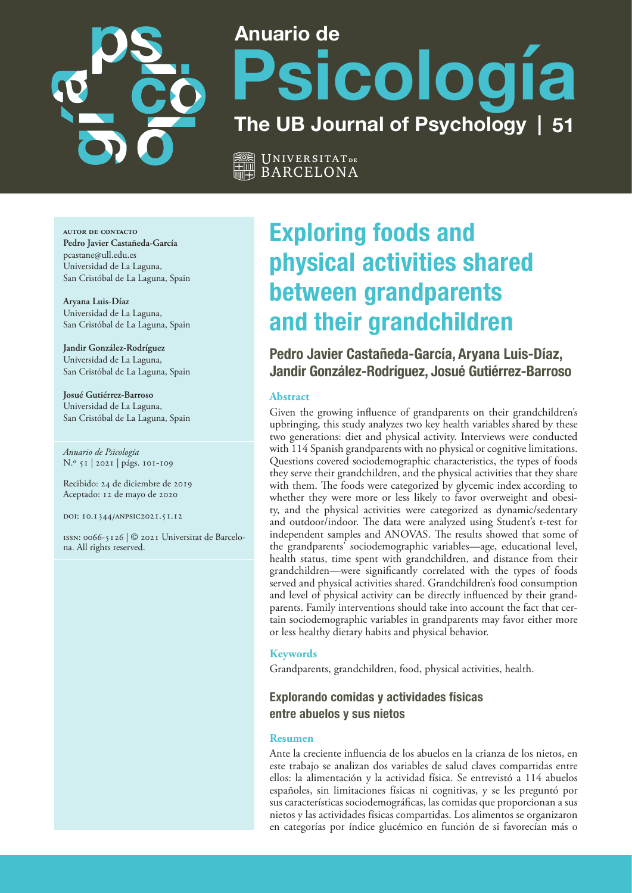

# **Anuario de Psicología The UB Journal of Psychology**

Universitat **de** BARCELONA

**autor de contacto Pedro Javier Castañeda-García** [pcastane@ull.edu.es](mailto:pcastane@ull.edu.es) Universidad de La Laguna, San Cristóbal de La Laguna, Spain

**Aryana Luis-Díaz** Universidad de La Laguna, San Cristóbal de La Laguna, Spain

**Jandir González-Rodríguez**  Universidad de La Laguna, San Cristóbal de La Laguna, Spain

**Josué Gutiérrez-Barroso**  Universidad de La Laguna, San Cristóbal de La Laguna, Spain

*Anuario de Psicología* N.º 51 | 2021 | págs. 101-109

Recibido: 24 de diciembre de 2019 Aceptado: 12 de mayo de 2020

doi: 10.1344/anpsic2021.51.12

issn: 0066-5126 | © 2021 Universitat de Barcelona. All rights reserved.

# **Exploring foods and physical activities shared between grandparents and their grandchildren**

**Pedro Javier Castañeda-García, Aryana Luis-Díaz, Jandir González-Rodríguez, Josué Gutiérrez-Barroso**

## **Abstract**

Given the growing influence of grandparents on their grandchildren's upbringing, this study analyzes two key health variables shared by these two generations: diet and physical activity. Interviews were conducted with 114 Spanish grandparents with no physical or cognitive limitations. Questions covered sociodemographic characteristics, the types of foods they serve their grandchildren, and the physical activities that they share with them. The foods were categorized by glycemic index according to whether they were more or less likely to favor overweight and obesity, and the physical activities were categorized as dynamic/sedentary and outdoor/indoor. The data were analyzed using Student's t-test for independent samples and ANOVAS. The results showed that some of the grandparents' sociodemographic variables—age, educational level, health status, time spent with grandchildren, and distance from their grandchildren—were significantly correlated with the types of foods served and physical activities shared. Grandchildren's food consumption and level of physical activity can be directly influenced by their grandparents. Family interventions should take into account the fact that certain sociodemographic variables in grandparents may favor either more or less healthy dietary habits and physical behavior.

#### **Keywords**

Grandparents, grandchildren, food, physical activities, health.

# **Explorando comidas y actividades físicas entre abuelos y sus nietos**

#### **Resumen**

Ante la creciente influencia de los abuelos en la crianza de los nietos, en este trabajo se analizan dos variables de salud claves compartidas entre ellos: la alimentación y la actividad física. Se entrevistó a 114 abuelos españoles, sin limitaciones físicas ni cognitivas, y se les preguntó por sus características sociodemográficas, las comidas que proporcionan a sus nietos y las actividades físicas compartidas. Los alimentos se organizaron en categorías por índice glucémico en función de si favorecían más o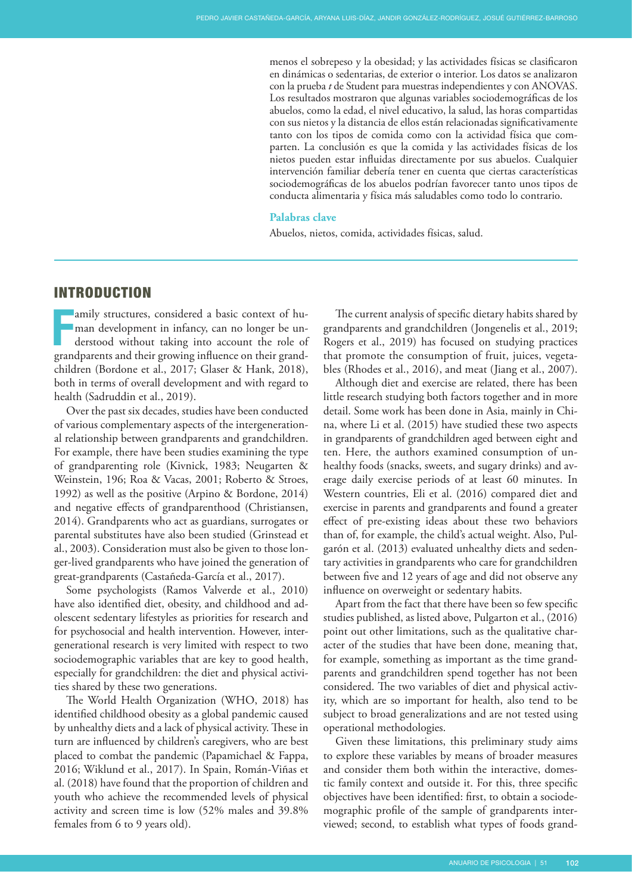menos el sobrepeso y la obesidad; y las actividades físicas se clasificaron en dinámicas o sedentarias, de exterior o interior. Los datos se analizaron con la prueba *t* de Student para muestras independientes y con ANOVAS. Los resultados mostraron que algunas variables sociodemográficas de los abuelos, como la edad, el nivel educativo, la salud, las horas compartidas con sus nietos y la distancia de ellos están relacionadas significativamente tanto con los tipos de comida como con la actividad física que comparten. La conclusión es que la comida y las actividades físicas de los nietos pueden estar influidas directamente por sus abuelos. Cualquier intervención familiar debería tener en cuenta que ciertas características sociodemográficas de los abuelos podrían favorecer tanto unos tipos de conducta alimentaria y física más saludables como todo lo contrario.

#### **Palabras clave**

Abuelos, nietos, comida, actividades físicas, salud.

# INTRODUCTION

amily structures, considered a basic context of human development in infancy, can no longer be understood without taking into account the role of creating and their crowing influence on their crond man development in infancy, can no longer be understood without taking into account the role of grandparents and their growing influence on their grandchildren (Bordone et al., 2017; Glaser & Hank, 2018), both in terms of overall development and with regard to health (Sadruddin et al., 2019).

Over the past six decades, studies have been conducted of various complementary aspects of the intergenerational relationship between grandparents and grandchildren. For example, there have been studies examining the type of grandparenting role (Kivnick, 1983; Neugarten & Weinstein, 196; Roa & Vacas, 2001; Roberto & Stroes, 1992) as well as the positive (Arpino & Bordone, 2014) and negative effects of grandparenthood (Christiansen, 2014). Grandparents who act as guardians, surrogates or parental substitutes have also been studied (Grinstead et al., 2003). Consideration must also be given to those longer-lived grandparents who have joined the generation of great-grandparents (Castañeda-García et al., 2017).

Some psychologists (Ramos Valverde et al., 2010) have also identified diet, obesity, and childhood and adolescent sedentary lifestyles as priorities for research and for psychosocial and health intervention. However, intergenerational research is very limited with respect to two sociodemographic variables that are key to good health, especially for grandchildren: the diet and physical activities shared by these two generations.

The World Health Organization (WHO, 2018) has identified childhood obesity as a global pandemic caused by unhealthy diets and a lack of physical activity. These in turn are influenced by children's caregivers, who are best placed to combat the pandemic (Papamichael & Fappa, 2016; Wiklund et al., 2017). In Spain, Román-Viñas et al. (2018) have found that the proportion of children and youth who achieve the recommended levels of physical activity and screen time is low (52% males and 39.8% females from 6 to 9 years old).

The current analysis of specific dietary habits shared by grandparents and grandchildren (Jongenelis et al., 2019; Rogers et al., 2019) has focused on studying practices that promote the consumption of fruit, juices, vegetables (Rhodes et al., 2016), and meat (Jiang et al., 2007).

Although diet and exercise are related, there has been little research studying both factors together and in more detail. Some work has been done in Asia, mainly in China, where Li et al. (2015) have studied these two aspects in grandparents of grandchildren aged between eight and ten. Here, the authors examined consumption of unhealthy foods (snacks, sweets, and sugary drinks) and average daily exercise periods of at least 60 minutes. In Western countries, Eli et al. (2016) compared diet and exercise in parents and grandparents and found a greater effect of pre-existing ideas about these two behaviors than of, for example, the child's actual weight. Also, Pulgarón et al. (2013) evaluated unhealthy diets and sedentary activities in grandparents who care for grandchildren between five and 12 years of age and did not observe any influence on overweight or sedentary habits.

Apart from the fact that there have been so few specific studies published, as listed above, Pulgarton et al., (2016) point out other limitations, such as the qualitative character of the studies that have been done, meaning that, for example, something as important as the time grandparents and grandchildren spend together has not been considered. The two variables of diet and physical activity, which are so important for health, also tend to be subject to broad generalizations and are not tested using operational methodologies.

Given these limitations, this preliminary study aims to explore these variables by means of broader measures and consider them both within the interactive, domestic family context and outside it. For this, three specific objectives have been identified: first, to obtain a sociodemographic profile of the sample of grandparents interviewed; second, to establish what types of foods grand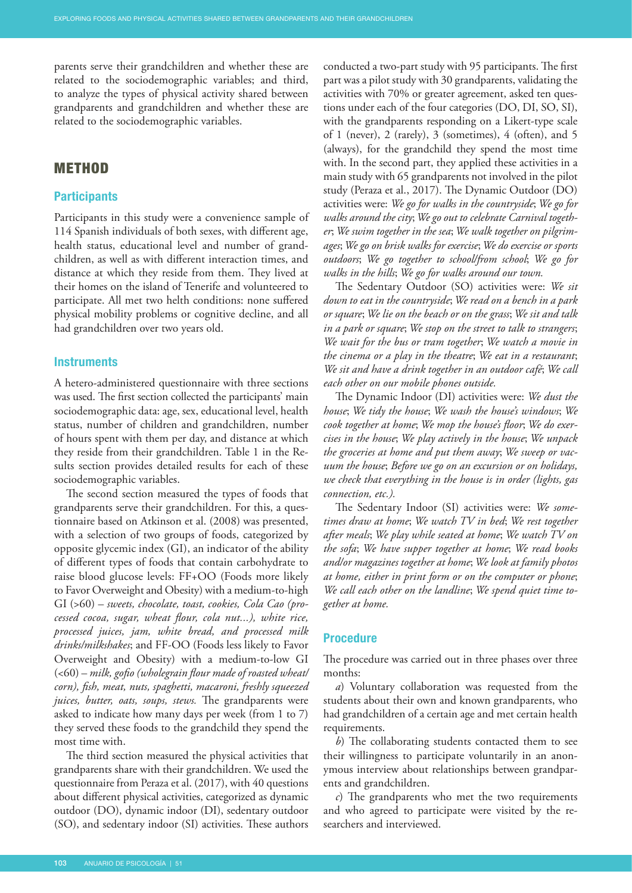parents serve their grandchildren and whether these are related to the sociodemographic variables; and third, to analyze the types of physical activity shared between grandparents and grandchildren and whether these are related to the sociodemographic variables.

# **METHOD**

#### **Participants**

Participants in this study were a convenience sample of 114 Spanish individuals of both sexes, with different age, health status, educational level and number of grandchildren, as well as with different interaction times, and distance at which they reside from them. They lived at their homes on the island of Tenerife and volunteered to participate. All met two helth conditions: none suffered physical mobility problems or cognitive decline, and all had grandchildren over two years old.

#### **Instruments**

A hetero-administered questionnaire with three sections was used. The first section collected the participants' main sociodemographic data: age, sex, educational level, health status, number of children and grandchildren, number of hours spent with them per day, and distance at which they reside from their grandchildren. Table 1 in the Results section provides detailed results for each of these sociodemographic variables.

The second section measured the types of foods that grandparents serve their grandchildren. For this, a questionnaire based on Atkinson et al. (2008) was presented, with a selection of two groups of foods, categorized by opposite glycemic index (GI), an indicator of the ability of different types of foods that contain carbohydrate to raise blood [glucose](https://www.medicinenet.com/glucose/article.htm) levels: FF+OO (Foods more likely to Favor Overweight and Obesity) with a medium-to-high GI (>60) – *sweets, chocolate, toast, cookies, Cola Cao (processed cocoa, sugar, wheat flour, cola nut...), white rice, processed juices, jam, white bread, and processed milk drinks/milkshakes*; and FF-OO (Foods less likely to Favor Overweight and Obesity) with a medium-to-low GI (<60) – *milk, gofio (wholegrain flour made of roasted wheat/ corn), fish, meat, nuts, spaghetti, macaroni, freshly squeezed juices, butter, oats, soups, stews.* The grandparents were asked to indicate how many days per week (from 1 to 7) they served these foods to the grandchild they spend the most time with.

The third section measured the physical activities that grandparents share with their grandchildren. We used the questionnaire from Peraza et al. (2017), with 40 questions about different physical activities, categorized as dynamic outdoor (DO), dynamic indoor (DI), sedentary outdoor (SO), and sedentary indoor (SI) activities. These authors

conducted a two-part study with 95 participants. The first part was a pilot study with 30 grandparents, validating the activities with 70% or greater agreement, asked ten questions under each of the four categories (DO, DI, SO, SI), with the grandparents responding on a Likert-type scale of 1 (never), 2 (rarely), 3 (sometimes), 4 (often), and 5 (always), for the grandchild they spend the most time with. In the second part, they applied these activities in a main study with 65 grandparents not involved in the pilot study (Peraza et al., 2017). The Dynamic Outdoor (DO) activities were: *We go for walks in the countryside*; *We go for walks around the city*; *We go out to celebrate Carnival together*; *We swim together in the sea*; *We walk together on pilgrimages*; *We go on brisk walks for exercise*; *We do exercise or sports outdoors*; *We go together to school/from school*; *We go for walks in the hills*; *We go for walks around our town.*

The Sedentary Outdoor (SO) activities were: *We sit down to eat in the countryside*; *We read on a bench in a park or square*; *We lie on the beach or on the grass*; *We sit and talk in a park or square*; *We stop on the street to talk to strangers*; *We wait for the bus or tram together*; *We watch a movie in the cinema or a play in the theatre*; *We eat in a restaurant*; *We sit and have a drink together in an outdoor café*; *We call each other on our mobile phones outside.*

The Dynamic Indoor (DI) activities were: *We dust the house*; *We tidy the house*; *We wash the house's windows*; *We cook together at home*; *We mop the house's floor*; *We do exercises in the house*; *We play actively in the house*; *We unpack the groceries at home and put them away*; *We sweep or vacuum the house*; *Before we go on an excursion or on holidays, we check that everything in the house is in order (lights, gas connection, etc.).*

The Sedentary Indoor (SI) activities were: *We sometimes draw at home*; *We watch TV in bed*; *We rest together after meals*; *We play while seated at home*; *We watch TV on the sofa*; *We have supper together at home*; *We read books and/or magazines together at home*; *We look at family photos at home, either in print form or on the computer or phone*; *We call each other on the landline*; *We spend quiet time together at home.*

#### **Procedure**

The procedure was carried out in three phases over three months:

*a*) Voluntary collaboration was requested from the students about their own and known grandparents, who had grandchildren of a certain age and met certain health requirements.

*b*) The collaborating students contacted them to see their willingness to participate voluntarily in an anonymous interview about relationships between grandparents and grandchildren.

*c*) The grandparents who met the two requirements and who agreed to participate were visited by the researchers and interviewed.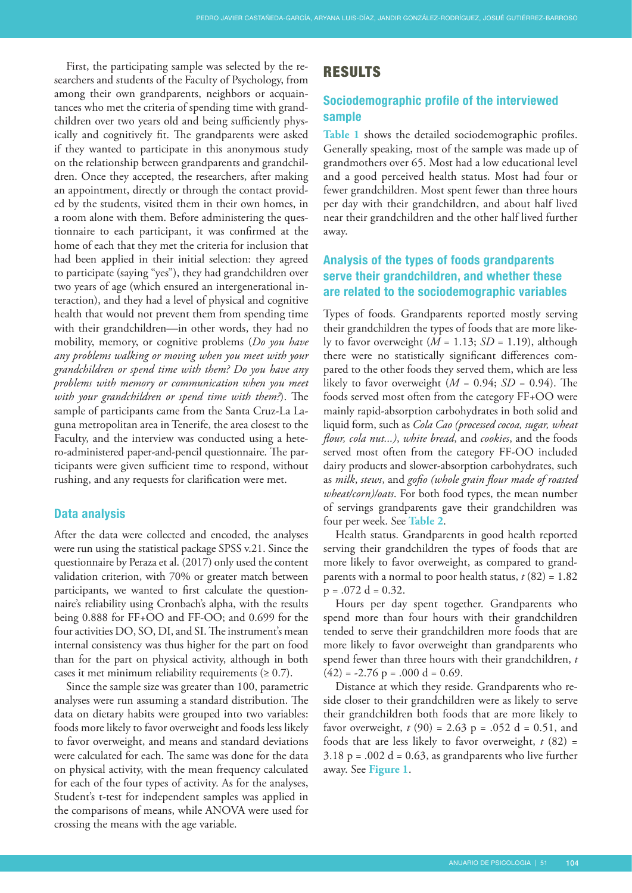First, the participating sample was selected by the researchers and students of the Faculty of Psychology, from among their own grandparents, neighbors or acquaintances who met the criteria of spending time with grandchildren over two years old and being sufficiently physically and cognitively fit. The grandparents were asked if they wanted to participate in this anonymous study on the relationship between grandparents and grandchildren. Once they accepted, the researchers, after making an appointment, directly or through the contact provided by the students, visited them in their own homes, in a room alone with them. Before administering the questionnaire to each participant, it was confirmed at the home of each that they met the criteria for inclusion that had been applied in their initial selection: they agreed to participate (saying "yes"), they had grandchildren over two years of age (which ensured an intergenerational interaction), and they had a level of physical and cognitive health that would not prevent them from spending time with their grandchildren—in other words, they had no mobility, memory, or cognitive problems (*Do you have any problems walking or moving when you meet with your grandchildren or spend time with them? Do you have any problems with memory or communication when you meet with your grandchildren or spend time with them?*). The sample of participants came from the Santa Cruz-La Laguna metropolitan area in Tenerife, the area closest to the Faculty, and the interview was conducted using a hetero-administered paper-and-pencil questionnaire. The participants were given sufficient time to respond, without rushing, and any requests for clarification were met.

#### **Data analysis**

After the data were collected and encoded, the analyses were run using the statistical package SPSS v.21. Since the questionnaire by Peraza et al. (2017) only used the content validation criterion, with 70% or greater match between participants, we wanted to first calculate the questionnaire's reliability using Cronbach's alpha, with the results being 0.888 for FF+OO and FF-OO; and 0.699 for the four activities DO, SO, DI, and SI.The instrument's mean internal consistency was thus higher for the part on food than for the part on physical activity, although in both cases it met minimum reliability requirements  $(≥ 0.7)$ .

Since the sample size was greater than 100, parametric analyses were run assuming a standard distribution. The data on dietary habits were grouped into two variables: foods more likely to favor overweight and foods less likely to favor overweight, and means and standard deviations were calculated for each. The same was done for the data on physical activity, with the mean frequency calculated for each of the four types of activity. As for the analyses, Student's t-test for independent samples was applied in the comparisons of means, while ANOVA were used for crossing the means with the age variable.

## RESULTS

# **Sociodemographic profile of the interviewed sample**

**[Table 1](#page-4-0)** shows the detailed sociodemographic profiles. Generally speaking, most of the sample was made up of grandmothers over 65. Most had a low educational level and a good perceived health status. Most had four or fewer grandchildren. Most spent fewer than three hours per day with their grandchildren, and about half lived near their grandchildren and the other half lived further away.

# **Analysis of the types of foods grandparents serve their grandchildren, and whether these are related to the sociodemographic variables**

Types of foods. Grandparents reported mostly serving their grandchildren the types of foods that are more likely to favor overweight  $(M = 1.13; SD = 1.19)$ , although there were no statistically significant differences compared to the other foods they served them, which are less likely to favor overweight  $(M = 0.94; SD = 0.94)$ . The foods served most often from the category FF+OO were mainly rapid-absorption carbohydrates in both solid and liquid form, such as *Cola Cao (processed cocoa, sugar, wheat flour, cola nut...)*, *white bread*, and *cookies*, and the foods served most often from the category FF-OO included dairy products and slower-absorption carbohydrates, such as *milk*, *stews*, and *gofio (whole grain flour made of roasted wheat/corn)/oats*. For both food types, the mean number of servings grandparents gave their grandchildren was four per week. See **[Table 2](#page-4-0)**.

Health status. Grandparents in good health reported serving their grandchildren the types of foods that are more likely to favor overweight, as compared to grandparents with a normal to poor health status, *t* (82) = 1.82  $p = .072$  d = 0.32.

Hours per day spent together. Grandparents who spend more than four hours with their grandchildren tended to serve their grandchildren more foods that are more likely to favor overweight than grandparents who spend fewer than three hours with their grandchildren, *t*   $(42) = -2.76$  p = .000 d = 0.69.

Distance at which they reside. Grandparents who reside closer to their grandchildren were as likely to serve their grandchildren both foods that are more likely to favor overweight,  $t(90) = 2.63$  p = .052 d = 0.51, and foods that are less likely to favor overweight, *t* (82) =  $3.18 \text{ p} = .002 \text{ d} = 0.63$ , as grandparents who live further away. See **[Figure 1](#page-4-0)**.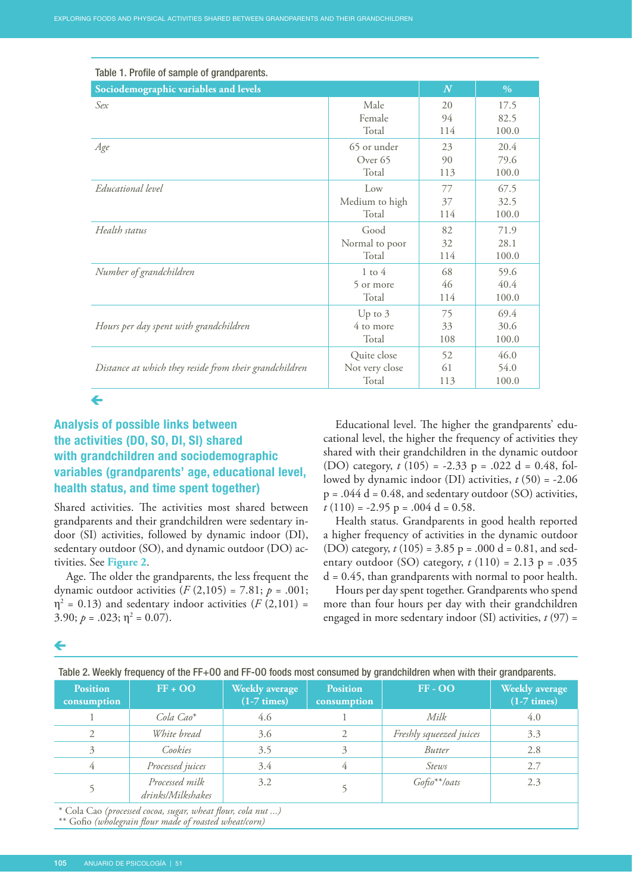<span id="page-4-0"></span>

| Table 1. Profile of sample of grandparents.            |                    |               |       |
|--------------------------------------------------------|--------------------|---------------|-------|
| Sociodemographic variables and levels                  | $\boldsymbol{N}$   | $\frac{0}{0}$ |       |
| Sex                                                    | Male               | 20            | 17.5  |
|                                                        | Female             | 94            | 82.5  |
|                                                        | Total              | 114           | 100.0 |
| Age                                                    | 65 or under        | 23            | 20.4  |
|                                                        | Over <sub>65</sub> | 90            | 79.6  |
|                                                        | Total              | 113           | 100.0 |
| Educational level                                      | Low                | 77            | 67.5  |
|                                                        | Medium to high     | 37            | 32.5  |
|                                                        | Total              | 114           | 100.0 |
| Health status                                          | Good               | 82            | 71.9  |
|                                                        | Normal to poor     | 32            | 28.1  |
|                                                        | Total              | 114           | 100.0 |
| Number of grandchildren                                | $1$ to $4$         | 68            | 59.6  |
|                                                        | 5 or more          | 46            | 40.4  |
|                                                        | Total              | 114           | 100.0 |
| Hours per day spent with grandchildren                 | Up to $3$          | 75            | 69.4  |
|                                                        | 4 to more          | 33            | 30.6  |
|                                                        | Total              | 108           | 100.0 |
| Distance at which they reside from their grandchildren | Quite close        | 52            | 46.0  |
|                                                        | Not very close     | 61            | 54.0  |
|                                                        | Total              | 113           | 100.0 |

 $\leftarrow$ 

# **Analysis of possible links between the activities (DO, SO, DI, SI) shared with grandchildren and sociodemographic variables (grandparents' age, educational level, health status, and time spent together)**

Shared activities. The activities most shared between grandparents and their grandchildren were sedentary indoor (SI) activities, followed by dynamic indoor (DI), sedentary outdoor (SO), and dynamic outdoor (DO) activities. See **Figure 2**.

Age. The older the grandparents, the less frequent the dynamic outdoor activities  $(F(2,105) = 7.81; p = .001;$  $\eta^2$  = 0.13) and sedentary indoor activities (*F* (2,101) = 3.90;  $p = .023$ ;  $\eta^2 = 0.07$ ).

Educational level. The higher the grandparents' educational level, the higher the frequency of activities they shared with their grandchildren in the dynamic outdoor (DO) category, *t* (105) = -2.33 p = .022 d = 0.48, followed by dynamic indoor (DI) activities, *t* (50) = -2.06  $p = .044 d = 0.48$ , and sedentary outdoor (SO) activities,  $t(110) = -2.95$  p =  $.004$  d = 0.58.

Health status. Grandparents in good health reported a higher frequency of activities in the dynamic outdoor (DO) category, *t* (105) = 3.85 p = .000 d = 0.81, and sedentary outdoor (SO) category,  $t(110) = 2.13$  p = .035  $d = 0.45$ , than grandparents with normal to poor health.

Hours per day spent together. Grandparents who spend more than four hours per day with their grandchildren engaged in more sedentary indoor (SI) activities, *t* (97) =

| Table 2. Weekly frequency of the FF+00 and FF-00 foods most consumed by grandchildren when with their grandparents. |                                     |                                                |                                |                         |                                                |  |
|---------------------------------------------------------------------------------------------------------------------|-------------------------------------|------------------------------------------------|--------------------------------|-------------------------|------------------------------------------------|--|
| <b>Position</b><br>consumption                                                                                      | $FF + OO$                           | <b>Weekly average</b><br>$(1-7 \text{ times})$ | <b>Position</b><br>consumption | $FF - OO$               | <b>Weekly</b> average<br>$(1-7 \text{ times})$ |  |
|                                                                                                                     | Cola Cao <sup>*</sup>               | 4.6                                            |                                | Milk                    | 4.0                                            |  |
|                                                                                                                     | White bread                         | 3.6                                            |                                | Freshly squeezed juices | 3.3                                            |  |
|                                                                                                                     | Cookies                             | 3.5                                            |                                | Butter                  | 2.8                                            |  |
|                                                                                                                     | Processed juices                    | 3.4                                            |                                | Stews                   | 2.7                                            |  |
|                                                                                                                     | Processed milk<br>drinks/Milkshakes | 3.2                                            |                                | $Gofo^{**}/oats$        | 2.3                                            |  |
|                                                                                                                     |                                     |                                                |                                |                         |                                                |  |

\* Cola Cao *(processed cocoa, sugar, wheat flour, cola nut ...)*

\*\* Gofio *(wholegrain flour made of roasted wheat/corn)*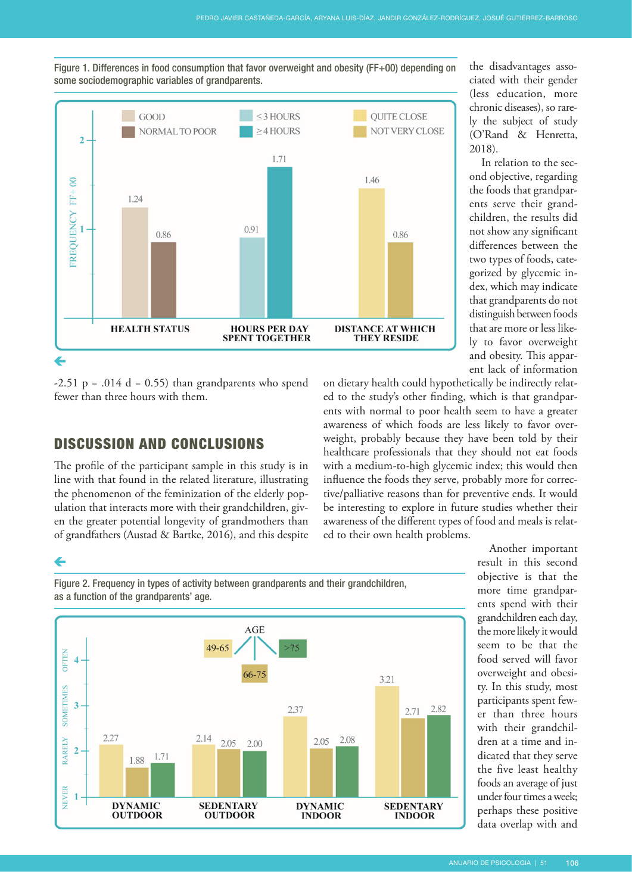

Figure 1. Differences in food consumption that favor overweight and obesity (FF+00) depending on some sociodemographic variables of grandparents.

 $-2.51$  p =  $.014$  d = 0.55) than grandparents who spend fewer than three hours with them.

# DISCUSSION AND CONCLUSIONS

The profile of the participant sample in this study is in line with that found in the related literature, illustrating the phenomenon of the feminization of the elderly population that interacts more with their grandchildren, given the greater potential longevity of grandmothers than of grandfathers (Austad & Bartke, 2016), and this despite

the disadvantages associated with their gender (less education, more chronic diseases), so rarely the subject of study (O'Rand & Henretta, 2018).

In relation to the second objective, regarding the foods that grandparents serve their grandchildren, the results did not show any significant differences between the two types of foods, categorized by glycemic index, which may indicate that grandparents do not distinguish between foods that are more or less likely to favor overweight and obesity. This apparent lack of information

on dietary health could hypothetically be indirectly related to the study's other finding, which is that grandparents with normal to poor health seem to have a greater awareness of which foods are less likely to favor overweight, probably because they have been told by their healthcare professionals that they should not eat foods with a medium-to-high glycemic index; this would then influence the foods they serve, probably more for corrective/palliative reasons than for preventive ends. It would be interesting to explore in future studies whether their awareness of the different types of food and meals is related to their own health problems.

# ←

Figure 2. Frequency in types of activity between grandparents and their grandchildren, as a function of the grandparents' age.



Another important result in this second objective is that the more time grandparents spend with their grandchildren each day, the more likely it would seem to be that the food served will favor overweight and obesity. In this study, most participants spent fewer than three hours with their grandchildren at a time and indicated that they serve the five least healthy foods an average of just under four times a week; perhaps these positive data overlap with and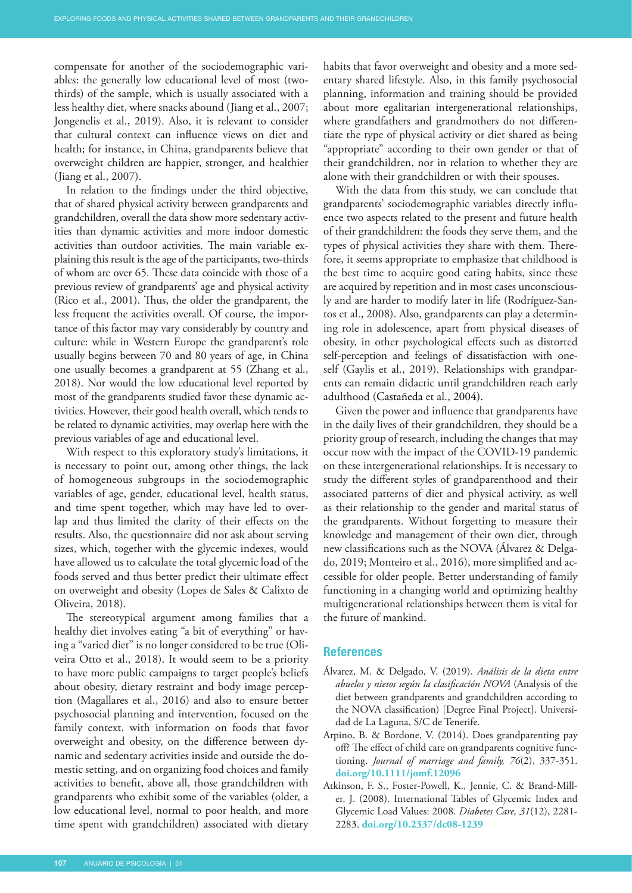compensate for another of the sociodemographic variables: the generally low educational level of most (twothirds) of the sample, which is usually associated with a less healthy diet, where snacks abound (Jiang et al., 2007; Jongenelis et al., 2019). Also, it is relevant to consider that cultural context can influence views on diet and health; for instance, in China, grandparents believe that overweight children are happier, stronger, and healthier (Jiang et al., 2007).

In relation to the findings under the third objective, that of shared physical activity between grandparents and grandchildren, overall the data show more sedentary activities than dynamic activities and more indoor domestic activities than outdoor activities. The main variable explaining this result is the age of the participants, two-thirds of whom are over 65. These data coincide with those of a previous review of grandparents' age and physical activity (Rico et al., 2001). Thus, the older the grandparent, the less frequent the activities overall. Of course, the importance of this factor may vary considerably by country and culture: while in Western Europe the grandparent's role usually begins between 70 and 80 years of age, in China one usually becomes a grandparent at 55 (Zhang et al., 2018). Nor would the low educational level reported by most of the grandparents studied favor these dynamic activities. However, their good health overall, which tends to be related to dynamic activities, may overlap here with the previous variables of age and educational level.

With respect to this exploratory study's limitations, it is necessary to point out, among other things, the lack of homogeneous subgroups in the sociodemographic variables of age, gender, educational level, health status, and time spent together, which may have led to overlap and thus limited the clarity of their effects on the results. Also, the questionnaire did not ask about serving sizes, which, together with the glycemic indexes, would have allowed us to calculate the total glycemic load of the foods served and thus better predict their ultimate effect on overweight and obesity (Lopes de Sales & Calixto de Oliveira, 2018).

The stereotypical argument among families that a healthy diet involves eating "a bit of everything" or having a "varied diet" is no longer considered to be true (Oliveira Otto et al., 2018). It would seem to be a priority to have more public campaigns to target people's beliefs about obesity, dietary restraint and body image perception (Magallares et al., 2016) and also to ensure better psychosocial planning and intervention, focused on the family context, with information on foods that favor overweight and obesity, on the difference between dynamic and sedentary activities inside and outside the domestic setting, and on organizing food choices and family activities to benefit, above all, those grandchildren with grandparents who exhibit some of the variables (older, a low educational level, normal to poor health, and more time spent with grandchildren) associated with dietary habits that favor overweight and obesity and a more sedentary shared lifestyle. Also, in this family psychosocial planning, information and training should be provided about more egalitarian intergenerational relationships, where grandfathers and grandmothers do not differentiate the type of physical activity or diet shared as being "appropriate" according to their own gender or that of their grandchildren, nor in relation to whether they are alone with their grandchildren or with their spouses.

With the data from this study, we can conclude that grandparents' sociodemographic variables directly influence two aspects related to the present and future health of their grandchildren: the foods they serve them, and the types of physical activities they share with them. Therefore, it seems appropriate to emphasize that childhood is the best time to acquire good eating habits, since these are acquired by repetition and in most cases unconsciously and are harder to modify later in life (Rodríguez-Santos et al., 2008). Also, grandparents can play a determining role in adolescence, apart from physical diseases of obesity, in other psychological effects such as distorted self-perception and feelings of dissatisfaction with oneself [\(Gaylis](https://www.tandfonline.com/author/Gaylis%2C+Jaclyn+B) et al., 2019). Relationships with grandparents can remain didactic until grandchildren reach early adulthood (Castañeda et al., 2004).

Given the power and influence that grandparents have in the daily lives of their grandchildren, they should be a priority group of research, including the changes that may occur now with the impact of the COVID-19 pandemic on these intergenerational relationships. It is necessary to study the different styles of grandparenthood and their associated patterns of diet and physical activity, as well as their relationship to the gender and marital status of the grandparents. Without forgetting to measure their knowledge and management of their own diet, through new classifications such as the NOVA (Álvarez & Delgado, 2019; Monteiro et al., 2016), more simplified and accessible for older people. Better understanding of family functioning in a changing world and optimizing healthy multigenerational relationships between them is vital for the future of mankind.

#### **References**

- Álvarez, M. & Delgado, V. (2019). *Análisis de la dieta entre abuelos y nietos según la clasificación NOVA* (Analysis of the diet between grandparents and grandchildren according to the NOVA classification) [Degree Final Project]. Universidad de La Laguna, S/C de Tenerife.
- Arpino, B. & Bordone, V. (2014). Does grandparenting pay off? The effect of child care on grandparents cognitive functioning. *Journal of marriage and family, 76*(2), 337-351. **[doi.org/10.1111/jomf.12096](https://doi.org/10.1111/jomf.12096)**
- Atkinson, F. S., Foster-Powell, K., Jennie, C. & Brand-Miller, J. (2008). International Tables of Glycemic Index and Glycemic Load Values: 2008. *Diabetes Care, 31*(12), 2281- 2283. **[doi.org/10.2337/dc08-1239](https://doi.org/10.2337/dc08-1239)**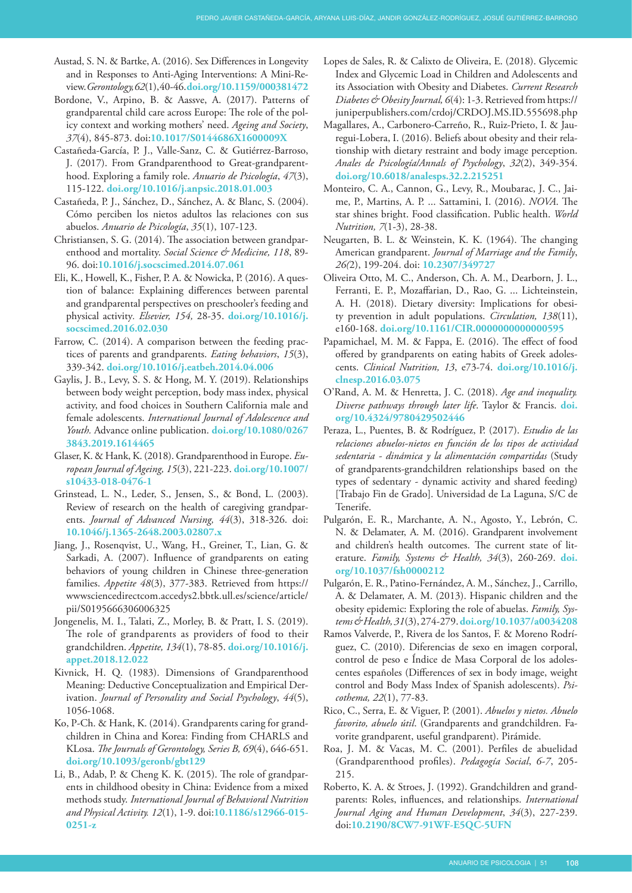- Austad, S. N. & Bartke, A. (2016). Sex Differences in Longevity and in Responses to Anti-Aging Interventions: A Mini-Review. *Gerontology, 62*(1), 40-46. **[doi.org/10.1159/000381472](https://doi.org/10.1159/000381472)**
- Bordone, V., Arpino, B. & Aassve, A. (2017). Patterns of grandparental child care across Europe: The role of the policy context and working mothers' need. *Ageing and Society*, *37*(4), 845-873. doi:**[10.1017/S0144686X1600009X](https://doi:10.1017/S0144686X1600009X)**
- Castañeda-García, P. J., Valle-Sanz, C. & Gutiérrez-Barroso, J. (2017). From Grandparenthood to Great-grandparenthood. Exploring a family role. *Anuario de Psicología*, *47*(3), 115-122. **[doi.org/10.1016/j.anpsic.2018.01.003](https://doi.org/10.1016/j.anpsic.2018.01.003)**
- Castañeda, P. J., Sánchez, D., Sánchez, A. & Blanc, S. (2004). Cómo perciben los nietos adultos las relaciones con sus abuelos. *Anuario de Psicología*, *35*(1), 107-123.
- Christiansen, S. G. (2014). The association between grandparenthood and mortality. *Social Science & Medicine, 118*, 89- 96. doi:**[10.1016/j.socscimed.2014.07.061](http://dx.doi.org/10.1016/j.socscimed.2014.07.061)**
- Eli, K., Howell, K., Fisher, P. A. & Nowicka, P. (2016). A question of balance: Explaining differences between parental and grandparental perspectives on preschooler's feeding and physical activity*. Elsevier, 154,* 28-35. **[doi.org/10.1016/j.](https://doi.org/10.1016/j.socscimed.2016.02.030) [socscimed.2016.02.030](https://doi.org/10.1016/j.socscimed.2016.02.030)**
- Farrow, C. (2014). A comparison between the feeding practices of parents and grandparents. *Eating behaviors*, *15*(3), 339-342. **[doi.org/10.1016/j.eatbeh.2014.04.006](https://doi.org/10.1016/j.eatbeh.2014.04.006)**
- [Gaylis](https://www.tandfonline.com/author/Gaylis%2C+Jaclyn+B), J. B., [Levy,](https://www.tandfonline.com/author/Levy%2C+Susan+S) S. S. & [Hong,](https://www.tandfonline.com/author/Hong%2C+Mee+Young) M. Y. (2019). Relationships between body weight perception, body mass index, physical activity, and food choices in Southern California male and female adolescents. *International Journal of Adolescence and Youth.* Advance online publication. **[doi.org/10.1080/0267](https://doi.org/10.1080/02673843.2019.1614465) [3843.2019.1614465](https://doi.org/10.1080/02673843.2019.1614465)**
- Glaser, K. & Hank, K. (2018). Grandparenthood in Europe. *European Journal of Ageing, 15*(3), 221-223. **[doi.org/10.1007/](https://doi.org/10.1007/s10433-018-0476-1) [s10433-018-0476-1](https://doi.org/10.1007/s10433-018-0476-1)**
- Grinstead, L. N., Leder, S., Jensen, S., & Bond, L. (2003). Review of research on the health of caregiving grandparents. *Journal of Advanced Nursing, 44*(3), 318-326. doi: **[10.1046/j.1365-2648.2003.02807.x](https://doi.org/10.1046/j.1365-2648.2003.02807.x)**
- Jiang, J., Rosenqvist, U., Wang, H., Greiner, T., Lian, G. & Sarkadi, A. (2007). Influence of grandparents on eating behaviors of young children in Chinese three-generation families. *[Appetite](https://www-sciencedirect-com.accedys2.bbtk.ull.es/science/journal/01956663) [48](https://www-sciencedirect-com.accedys2.bbtk.ull.es/science/journal/01956663/48/3)*(3), 377-383. Retrieved from [https://](https://wwwsciencedirectcom.accedys2.bbtk.ull.es/science/article/pii/S0195666306006325) [wwwsciencedirectcom.accedys2.bbtk.ull.es/science/article/](https://wwwsciencedirectcom.accedys2.bbtk.ull.es/science/article/pii/S0195666306006325) [pii/S0195666306006325](https://wwwsciencedirectcom.accedys2.bbtk.ull.es/science/article/pii/S0195666306006325)
- Jongenelis, M. I., Talati, Z., Morley, B. & Pratt, I. S. (2019). The role of grandparents as providers of food to their grandchildren. *Appetite, 134*(1), 78-85. **[doi.org/10.1016/j.](https://doi.org/10.1016/j.appet.2018.12.022) [appet.2018.12.022](https://doi.org/10.1016/j.appet.2018.12.022)**
- Kivnick, H. Q. (1983). Dimensions of Grandparenthood Meaning: Deductive Conceptualization and Empirical Derivation. *Journal of Personality and Social Psychology*, *44*(5), 1056-1068.
- Ko, P-Ch. & Hank, K. (2014). Grandparents caring for grandchildren in China and Korea: Finding from CHARLS and KLosa. *The Journals of Gerontology, Series B, 69*(4), 646-651. **[doi.org/10.1093/geronb/gbt129](https://doi.org/10.1093/geronb/gbt129)**
- [Li, B](https://www.ncbi.nlm.nih.gov/pubmed/?term=Li%20B%5BAuthor%5D&cauthor=true&cauthor_uid=26122955)., [Adab, P](https://www.ncbi.nlm.nih.gov/pubmed/?term=Adab%20P%5BAuthor%5D&cauthor=true&cauthor_uid=26122955). & [Cheng K. K.](https://www.ncbi.nlm.nih.gov/pubmed/?term=Cheng%20KK%5BAuthor%5D&cauthor=true&cauthor_uid=26122955) (2015). The role of grandparents in childhood obesity in China: Evidence from a mixed methods study. *[International Journal of Behavioral Nutrition](https://www.ncbi.nlm.nih.gov/pubmed/26122955)  [and Physical Activity.](https://www.ncbi.nlm.nih.gov/pubmed/26122955) 12*(1), 1-9. doi:**[10.1186/s12966-015-](https://doi:10.1186/s12966-015-0251-z) [0251-z](https://doi:10.1186/s12966-015-0251-z)**
- Lopes de Sales, R. & Calixto de Oliveira, E. (2018). Glycemic Index and Glycemic Load in Children and Adolescents and its Association with Obesity and Diabetes. *Current Research Diabetes & Obesity Journal, 6*(4): 1-3. Retrieved from [https://](https://juniperpublishers.com/crdoj/CRDOJ.MS.ID.555698.php) [juniperpublishers.com/crdoj/CRDOJ.MS.ID.555698.php](https://juniperpublishers.com/crdoj/CRDOJ.MS.ID.555698.php)
- Magallares, A., Carbonero-Carreño, R., Ruiz-Prieto, I. & Jauregui-Lobera, I. (2016). Beliefs about obesity and their relationship with dietary restraint and body image perception. *Anales de Psicología/Annals of Psychology*, *32*(2), 349-354. **[doi.org/10.6018/analesps.32.2.215251](https://doi.org/10.6018/analesps.32.2.215251)**
- Monteiro, C. A., Cannon, G., Levy, R., Moubarac, J. C., Jaime, P., Martins, A. P. ... Sattamini, I. (2016). *NOVA*. The star shines bright. Food classification. Public health. *World Nutrition, 7*(1-3), 28-38.
- Neugarten, B. L. & Weinstein, K. K. (1964). The changing American grandparent. *Journal of Marriage and the Family*, *26(*2), 199-204. doi: **[10.2307/349727](http://dx.doi.org/10.2307/349727)**
- Oliveira Otto, M. C., Anderson, Ch. A. M., Dearborn, J. L., Ferranti, E. P., Mozaffarian, D., Rao, G. ... Lichteinstein, A. H. (2018). Dietary diversity: Implications for obesity prevention in adult populations. *Circulation, 138*(11), e160-168. **[doi.org/10.1161/CIR.0000000000000595](https://doi.org/10.1161/CIR.0000000000000595)**
- Papamichael, M. M. & Fappa, E. (2016). The effect of food offered by grandparents on eating habits of Greek adolescents. *Clinical Nutrition, 13*, e73-74. **[doi.org/10.1016/j.](https://doi.org/10.1016/j.clnesp.2016.03.075) [clnesp.2016.03.075](https://doi.org/10.1016/j.clnesp.2016.03.075)**
- O'Rand, A. M. & Henretta, J. C. (2018). *Age and inequality. Diverse pathways through later life*. Taylor & Francis. **[doi.](https://doi.org/10.4324/9780429502446) [org/10.4324/9780429502446](https://doi.org/10.4324/9780429502446)**
- Peraza, L., Puentes, B. & Rodríguez, P. (2017). *Estudio de las relaciones abuelos-nietos en función de los tipos de actividad sedentaria - dinámica y la alimentación compartidas* (Study of grandparents-grandchildren relationships based on the types of sedentary - dynamic activity and shared feeding) [Trabajo Fin de Grado]. Universidad de La Laguna, S/C de Tenerife.
- Pulgarón, E. R., Marchante, A. N., Agosto, Y., Lebrón, C. N. & Delamater, A. M. (2016). Grandparent involvement and children's health outcomes. The current state of literature. *Family, Systems & Health, 34*(3), 260-269. **doi. org[/10.1037/fsh0000212](https://dx.doi.org/10.1037%2Ffsh0000212)**
- Pulgarón, E. R., Patino-Fernández, A. M., Sánchez, J., Carrillo, A. & Delamater, A. M. (2013). Hispanic children and the obesity epidemic: Exploring the role of abuelas. *Family, Systems & Health, 31*(3), 274-279. **[doi.org/10.1037/a0034208](https://psycnet.apa.org/doi/10.1037/a0034208)**
- Ramos Valverde, P., Rivera de los Santos, F. & Moreno Rodríguez, C. (2010). Diferencias de sexo en imagen corporal, control de peso e Índice de Masa Corporal de los adolescentes españoles (Differences of sex in body image, weight control and Body Mass Index of Spanish adolescents). *Psicothema, 22*(1), 77-83.
- Rico, C., Serra, E. & Viguer, P. (2001). *Abuelos y nietos. Abuelo favorito, abuelo útil*. (Grandparents and grandchildren. Favorite grandparent, useful grandparent). Pirámide.
- Roa, J. M. & Vacas, M. C. (2001). Perfiles de abuelidad (Grandparenthood profiles). *Pedagogía Social*, *6-7*, 205- 215.
- Roberto, K. A. & Stroes, J. (1992). Grandchildren and grandparents: Roles, influences, and relationships. *International Journal Aging and Human Development*, *34*(3), 227-239. doi:**[10.2190/8CW7-91WF-E5QC-5UFN](https://doi.org/10.2190/8CW7-91WF-E5QC-5UFN)**